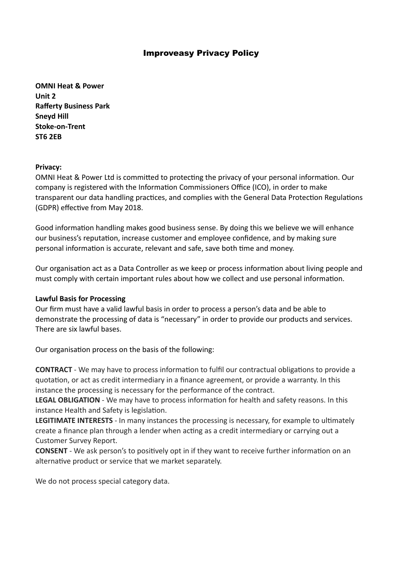**OMNI Heat & Power Unit 2 Rafferty Business Park Sneyd Hill Stoke-on-Trent ST6 2EB**

#### **Privacy:**

OMNI Heat & Power Ltd is committed to protecting the privacy of your personal information. Our company is registered with the Information Commissioners Office (ICO), in order to make transparent our data handling practices, and complies with the General Data Protection Regulations (GDPR) effective from May 2018.

Good information handling makes good business sense. By doing this we believe we will enhance our business's reputation, increase customer and employee confidence, and by making sure personal information is accurate, relevant and safe, save both time and money.

Our organisation act as a Data Controller as we keep or process information about living people and must comply with certain important rules about how we collect and use personal information.

### **Lawful Basis for Processing**

Our firm must have a valid lawful basis in order to process a person's data and be able to demonstrate the processing of data is "necessary" in order to provide our products and services. There are six lawful bases.

Our organisation process on the basis of the following:

**CONTRACT** - We may have to process information to fulfil our contractual obligations to provide a quotation, or act as credit intermediary in a finance agreement, or provide a warranty. In this instance the processing is necessary for the performance of the contract.

**LEGAL OBLIGATION** - We may have to process information for health and safety reasons. In this instance Health and Safety is legislation.

**LEGITIMATE INTERESTS** - In many instances the processing is necessary, for example to ultimately create a finance plan through a lender when acting as a credit intermediary or carrying out a Customer Survey Report.

**CONSENT** - We ask person's to positively opt in if they want to receive further information on an alternative product or service that we market separately.

We do not process special category data.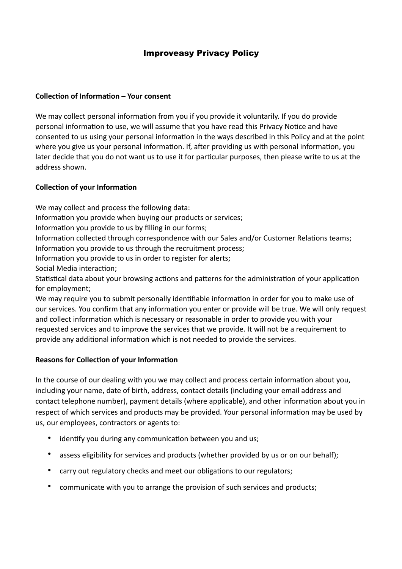# **Collection of Information – Your consent**

We may collect personal information from you if you provide it voluntarily. If you do provide personal information to use, we will assume that you have read this Privacy Notice and have consented to us using your personal information in the ways described in this Policy and at the point where you give us your personal information. If, after providing us with personal information, you later decide that you do not want us to use it for particular purposes, then please write to us at the address shown.

# **Collection of your Information**

We may collect and process the following data:

- Information you provide when buying our products or services;
- Information you provide to us by filling in our forms;
- Information collected through correspondence with our Sales and/or Customer Relations teams;
- Information you provide to us through the recruitment process;
- Information you provide to us in order to register for alerts;

Social Media interaction;

Statistical data about your browsing actions and patterns for the administration of your application for employment;

We may require you to submit personally identifiable information in order for you to make use of our services. You confirm that any information you enter or provide will be true. We will only request and collect information which is necessary or reasonable in order to provide you with your requested services and to improve the services that we provide. It will not be a requirement to provide any additional information which is not needed to provide the services.

### **Reasons for Collection of your Information**

In the course of our dealing with you we may collect and process certain information about you, including your name, date of birth, address, contact details (including your email address and contact telephone number), payment details (where applicable), and other information about you in respect of which services and products may be provided. Your personal information may be used by us, our employees, contractors or agents to:

- identify you during any communication between you and us;
- assess eligibility for services and products (whether provided by us or on our behalf);
- carry out regulatory checks and meet our obligations to our regulators;
- communicate with you to arrange the provision of such services and products;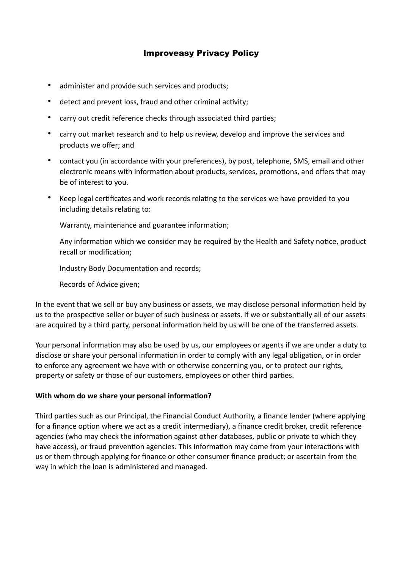- administer and provide such services and products;
- detect and prevent loss, fraud and other criminal activity;
- carry out credit reference checks through associated third parties;
- carry out market research and to help us review, develop and improve the services and products we offer; and
- contact you (in accordance with your preferences), by post, telephone, SMS, email and other electronic means with information about products, services, promotions, and offers that may be of interest to you.
- Keep legal certificates and work records relating to the services we have provided to you including details relating to:

Warranty, maintenance and guarantee information;

Any information which we consider may be required by the Health and Safety notice, product recall or modification;

Industry Body Documentation and records;

Records of Advice given;

In the event that we sell or buy any business or assets, we may disclose personal information held by us to the prospective seller or buyer of such business or assets. If we or substantially all of our assets are acquired by a third party, personal information held by us will be one of the transferred assets.

Your personal information may also be used by us, our employees or agents if we are under a duty to disclose or share your personal information in order to comply with any legal obligation, or in order to enforce any agreement we have with or otherwise concerning you, or to protect our rights, property or safety or those of our customers, employees or other third parties.

### **With whom do we share your personal information?**

Third parties such as our Principal, the Financial Conduct Authority, a finance lender (where applying for a finance option where we act as a credit intermediary), a finance credit broker, credit reference agencies (who may check the information against other databases, public or private to which they have access), or fraud prevention agencies. This information may come from your interactions with us or them through applying for finance or other consumer finance product; or ascertain from the way in which the loan is administered and managed.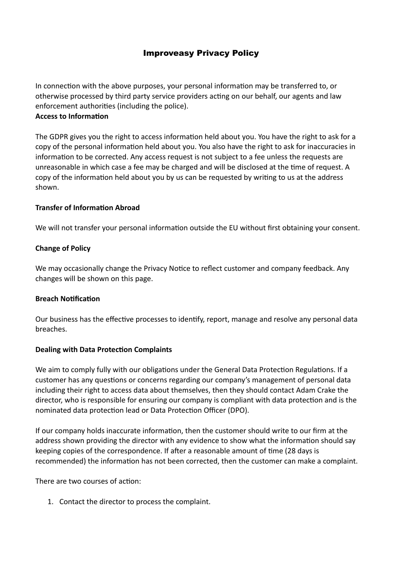In connection with the above purposes, your personal information may be transferred to, or otherwise processed by third party service providers acting on our behalf, our agents and law enforcement authorities (including the police).

### **Access to Information**

The GDPR gives you the right to access information held about you. You have the right to ask for a copy of the personal information held about you. You also have the right to ask for inaccuracies in information to be corrected. Any access request is not subject to a fee unless the requests are unreasonable in which case a fee may be charged and will be disclosed at the time of request. A copy of the information held about you by us can be requested by writing to us at the address shown.

# **Transfer of Information Abroad**

We will not transfer your personal information outside the EU without first obtaining your consent.

# **Change of Policy**

We may occasionally change the Privacy Notice to reflect customer and company feedback. Any changes will be shown on this page.

### **Breach Notification**

Our business has the effective processes to identify, report, manage and resolve any personal data breaches.

### **Dealing with Data Protection Complaints**

We aim to comply fully with our obligations under the General Data Protection Regulations. If a customer has any questions or concerns regarding our company's management of personal data including their right to access data about themselves, then they should contact Adam Crake the director, who is responsible for ensuring our company is compliant with data protection and is the nominated data protection lead or Data Protection Officer (DPO).

If our company holds inaccurate information, then the customer should write to our firm at the address shown providing the director with any evidence to show what the information should say keeping copies of the correspondence. If after a reasonable amount of time (28 days is recommended) the information has not been corrected, then the customer can make a complaint.

There are two courses of action:

1. Contact the director to process the complaint.